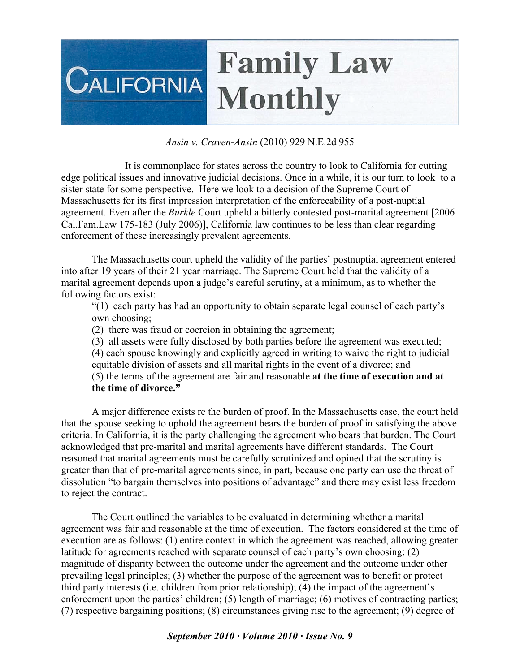## **Family Law CALIFORNIA Monthly**

## *Ansin v. Craven-Ansin* (2010) 929 N.E.2d 955

 It is commonplace for states across the country to look to California for cutting edge political issues and innovative judicial decisions. Once in a while, it is our turn to look to a sister state for some perspective. Here we look to a decision of the Supreme Court of Massachusetts for its first impression interpretation of the enforceability of a post-nuptial agreement. Even after the *Burkle* Court upheld a bitterly contested post-marital agreement [2006 Cal.Fam.Law 175-183 (July 2006)], California law continues to be less than clear regarding enforcement of these increasingly prevalent agreements.

The Massachusetts court upheld the validity of the parties' postnuptial agreement entered into after 19 years of their 21 year marriage. The Supreme Court held that the validity of a marital agreement depends upon a judge's careful scrutiny, at a minimum, as to whether the following factors exist:

"(1) each party has had an opportunity to obtain separate legal counsel of each party's own choosing;

(2) there was fraud or coercion in obtaining the agreement;

(3) all assets were fully disclosed by both parties before the agreement was executed;

(4) each spouse knowingly and explicitly agreed in writing to waive the right to judicial equitable division of assets and all marital rights in the event of a divorce; and

(5) the terms of the agreement are fair and reasonable **at the time of execution and at the time of divorce."** 

A major difference exists re the burden of proof. In the Massachusetts case, the court held that the spouse seeking to uphold the agreement bears the burden of proof in satisfying the above criteria. In California, it is the party challenging the agreement who bears that burden. The Court acknowledged that pre-marital and marital agreements have different standards. The Court reasoned that marital agreements must be carefully scrutinized and opined that the scrutiny is greater than that of pre-marital agreements since, in part, because one party can use the threat of dissolution "to bargain themselves into positions of advantage" and there may exist less freedom to reject the contract.

The Court outlined the variables to be evaluated in determining whether a marital agreement was fair and reasonable at the time of execution. The factors considered at the time of execution are as follows: (1) entire context in which the agreement was reached, allowing greater latitude for agreements reached with separate counsel of each party's own choosing; (2) magnitude of disparity between the outcome under the agreement and the outcome under other prevailing legal principles; (3) whether the purpose of the agreement was to benefit or protect third party interests (i.e. children from prior relationship); (4) the impact of the agreement's enforcement upon the parties' children; (5) length of marriage; (6) motives of contracting parties; (7) respective bargaining positions; (8) circumstances giving rise to the agreement; (9) degree of

## *September 2010 · Volume 2010 · Issue No. 9*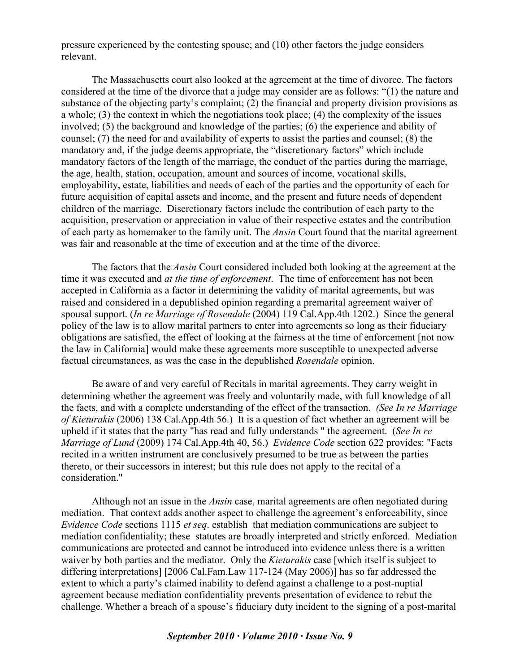pressure experienced by the contesting spouse; and (10) other factors the judge considers relevant.

The Massachusetts court also looked at the agreement at the time of divorce. The factors considered at the time of the divorce that a judge may consider are as follows: "(1) the nature and substance of the objecting party's complaint; (2) the financial and property division provisions as a whole; (3) the context in which the negotiations took place; (4) the complexity of the issues involved; (5) the background and knowledge of the parties; (6) the experience and ability of counsel; (7) the need for and availability of experts to assist the parties and counsel; (8) the mandatory and, if the judge deems appropriate, the "discretionary factors" which include mandatory factors of the length of the marriage, the conduct of the parties during the marriage, the age, health, station, occupation, amount and sources of income, vocational skills, employability, estate, liabilities and needs of each of the parties and the opportunity of each for future acquisition of capital assets and income, and the present and future needs of dependent children of the marriage. Discretionary factors include the contribution of each party to the acquisition, preservation or appreciation in value of their respective estates and the contribution of each party as homemaker to the family unit. The *Ansin* Court found that the marital agreement was fair and reasonable at the time of execution and at the time of the divorce.

The factors that the *Ansin* Court considered included both looking at the agreement at the time it was executed and *at the time of enforcement*. The time of enforcement has not been accepted in California as a factor in determining the validity of marital agreements, but was raised and considered in a depublished opinion regarding a premarital agreement waiver of spousal support. (*In re Marriage of Rosendale* (2004) 119 Cal.App.4th 1202.) Since the general policy of the law is to allow marital partners to enter into agreements so long as their fiduciary obligations are satisfied, the effect of looking at the fairness at the time of enforcement [not now the law in California] would make these agreements more susceptible to unexpected adverse factual circumstances, as was the case in the depublished *Rosendale* opinion.

Be aware of and very careful of Recitals in marital agreements. They carry weight in determining whether the agreement was freely and voluntarily made, with full knowledge of all the facts, and with a complete understanding of the effect of the transaction. *(See In re Marriage of Kieturakis* (2006) 138 Cal.App.4th 56.) It is a question of fact whether an agreement will be upheld if it states that the party "has read and fully understands " the agreement. (*See In re Marriage of Lund* (2009) 174 Cal.App.4th 40, 56.) *Evidence Code* section 622 provides: "Facts recited in a written instrument are conclusively presumed to be true as between the parties thereto, or their successors in interest; but this rule does not apply to the recital of a consideration."

Although not an issue in the *Ansin* case, marital agreements are often negotiated during mediation. That context adds another aspect to challenge the agreement's enforceability, since *Evidence Code* sections 1115 *et seq*. establish that mediation communications are subject to mediation confidentiality; these statutes are broadly interpreted and strictly enforced. Mediation communications are protected and cannot be introduced into evidence unless there is a written waiver by both parties and the mediator. Only the *Kieturakis* case [which itself is subject to differing interpretations] [2006 Cal.Fam.Law 117-124 (May 2006)] has so far addressed the extent to which a party's claimed inability to defend against a challenge to a post-nuptial agreement because mediation confidentiality prevents presentation of evidence to rebut the challenge. Whether a breach of a spouse's fiduciary duty incident to the signing of a post-marital